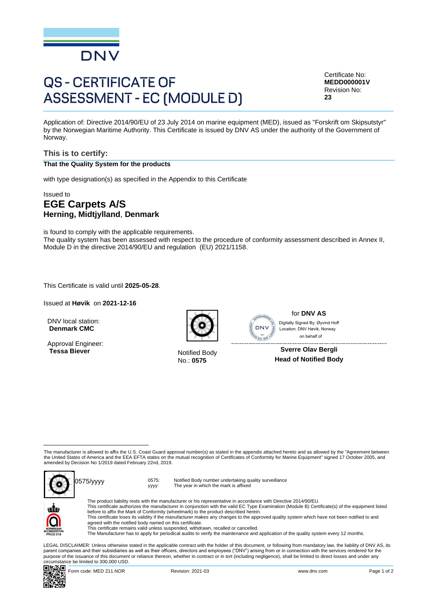

# **QS - CERTIFICATE OF ASSESSMENT - EC (MODULE D)**

Certificate No: **MEDD000001V** Revision No: **23**

Application of: Directive 2014/90/EU of 23 July 2014 on marine equipment (MED), issued as "Forskrift om Skipsutstyr" by the Norwegian Maritime Authority. This Certificate is issued by DNV AS under the authority of the Government of Norway.

#### **This is to certify: That the Quality System for the products**

with type designation(s) as specified in the Appendix to this Certificate

#### Issued to **EGE Carpets A/S Herning, Midtjylland**, **Denmark**

is found to comply with the applicable requirements. The quality system has been assessed with respect to the procedure of conformity assessment described in Annex II, Module D in the directive 2014/90/EU and regulation (EU) 2021/1158.

This Certificate is valid until **2025-05-28**.

Issued at **Høvik** on **2021-12-16**

DNV local station: **Denmark CMC**

Approval Engineer: **Tessa Biever** Notified Body



No.: **0575**



for **DNV AS** on behalf ofDigitally Signed By: Øyvind Hoff Location: DNV Høvik, Norway

**Sverre Olav Bergli Head of Notified Body**

The manufacturer is allowed to affix the U.S. Coast Guard approval number(s) as stated in the appendix attached hereto and as allowed by the "Agreement between the United States of America and the EEA EFTA states on the mutual recognition of Certificates of Conformity for Marine Equipment" signed 17 October 2005, and amended by Decision No 1/2019 dated February 22nd, 2019.



yyyy: Notified Body number undertaking quality surveillance The year in which the mark is affixed



The product liability rests with the manufacturer or his representative in accordance with Directive 2014/90/EU. This certificate authorizes the manufacturer in conjunction with the valid EC Type Examination (Module B) Certificate(s) of the equipment listed before to affix the Mark of Conformity (wheelmark) to the product described herein. This certificate loses its validity if the manufacturer makes any changes to the approved quality system which have not been notified to and agreed with the notified body named on this certificate.

This certificate remains valid unless suspended, withdrawn, recalled or cancelled.

The Manufacturer has to apply for periodical audits to verify the maintenance and application of the quality system every 12 months.

LEGAL DISCLAIMER: Unless otherwise stated in the applicable contract with the holder of this document, or following from mandatory law, the liability of DNV AS, its<br>parent companies and their subsidiaries as well as their purpose of the issuance of this document or reliance thereon, whether in contract or in tort (including negligence), shall be limited to direct losses and under any circumstance be limited to 300,000 USD.